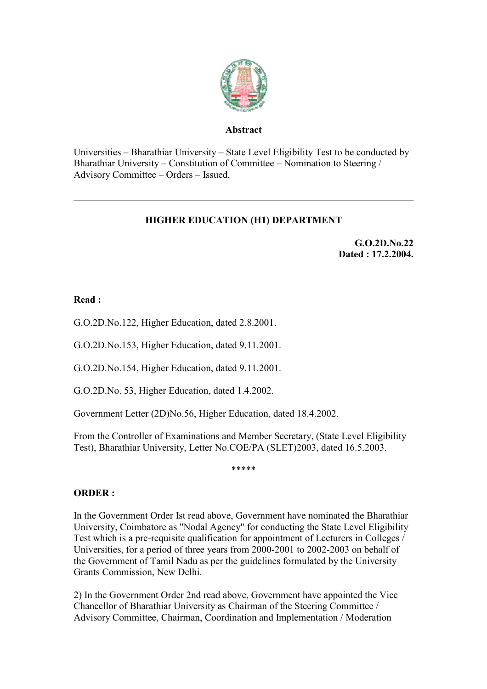

### **Abstract**

Universities – Bharathiar University – State Level Eligibility Test to be conducted by Bharathiar University – Constitution of Committee – Nomination to Steering / Advisory Committee – Orders – Issued.

# **HIGHER EDUCATION (H1) DEPARTMENT**

**G.O.2D.No.22 Dated : 17.2.2004.**

## **Read :**

G.O.2D.No.122, Higher Education, dated 2.8.2001.

G.O.2D.No.153, Higher Education, dated 9.11.2001.

G.O.2D.No.154, Higher Education, dated 9.11.2001.

G.O.2D.No. 53, Higher Education, dated 1.4.2002.

Government Letter (2D)No.56, Higher Education, dated 18.4.2002.

From the Controller of Examinations and Member Secretary, (State Level Eligibility Test), Bharathiar University, Letter No.COE/PA (SLET)2003, dated 16.5.2003.

\*\*\*\*\*

## **ORDER :**

In the Government Order Ist read above, Government have nominated the Bharathiar University, Coimbatore as "Nodal Agency" for conducting the State Level Eligibility Test which is a pre-requisite qualification for appointment of Lecturers in Colleges / Universities, for a period of three years from 2000-2001 to 2002-2003 on behalf of the Government of Tamil Nadu as per the guidelines formulated by the University Grants Commission, New Delhi.

2) In the Government Order 2nd read above, Government have appointed the Vice Chancellor of Bharathiar University as Chairman of the Steering Committee / Advisory Committee, Chairman, Coordination and Implementation / Moderation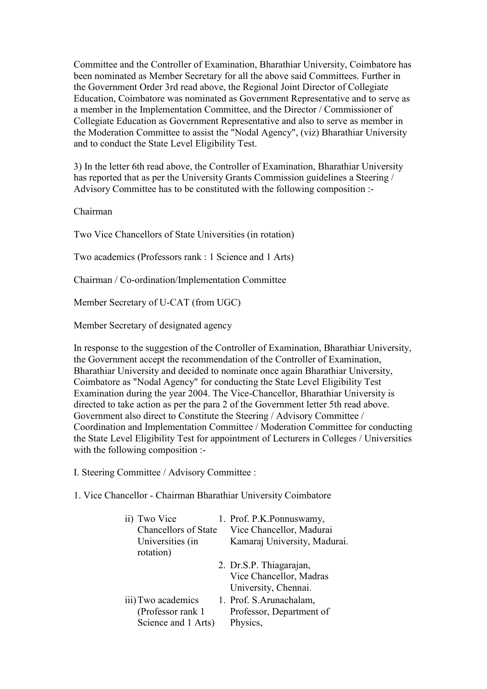Committee and the Controller of Examination, Bharathiar University, Coimbatore has been nominated as Member Secretary for all the above said Committees. Further in the Government Order 3rd read above, the Regional Joint Director of Collegiate Education, Coimbatore was nominated as Government Representative and to serve as a member in the Implementation Committee, and the Director / Commissioner of Collegiate Education as Government Representative and also to serve as member in the Moderation Committee to assist the "Nodal Agency", (viz) Bharathiar University and to conduct the State Level Eligibility Test.

3) In the letter 6th read above, the Controller of Examination, Bharathiar University has reported that as per the University Grants Commission guidelines a Steering / Advisory Committee has to be constituted with the following composition :-

Chairman

Two Vice Chancellors of State Universities (in rotation)

Two academics (Professors rank : 1 Science and 1 Arts)

Chairman / Co-ordination/Implementation Committee

Member Secretary of U-CAT (from UGC)

Member Secretary of designated agency

In response to the suggestion of the Controller of Examination, Bharathiar University, the Government accept the recommendation of the Controller of Examination, Bharathiar University and decided to nominate once again Bharathiar University, Coimbatore as "Nodal Agency" for conducting the State Level Eligibility Test Examination during the year 2004. The Vice-Chancellor, Bharathiar University is directed to take action as per the para 2 of the Government letter 5th read above. Government also direct to Constitute the Steering / Advisory Committee / Coordination and Implementation Committee / Moderation Committee for conducting the State Level Eligibility Test for appointment of Lecturers in Colleges / Universities with the following composition :-

I. Steering Committee / Advisory Committee :

1. Vice Chancellor - Chairman Bharathiar University Coimbatore

| ii) Two Vice                  | 1. Prof. P.K. Ponnuswamy,    |
|-------------------------------|------------------------------|
| Chancellors of State          | Vice Chancellor, Madurai     |
| Universities (in<br>rotation) | Kamaraj University, Madurai. |
|                               | 2. Dr.S.P. Thiagarajan,      |
|                               | Vice Chancellor, Madras      |
|                               | University, Chennai.         |
| iii) Two academics            | 1. Prof. S.Arunachalam,      |
| (Professor rank 1             | Professor, Department of     |
| Science and 1 Arts)           | Physics,                     |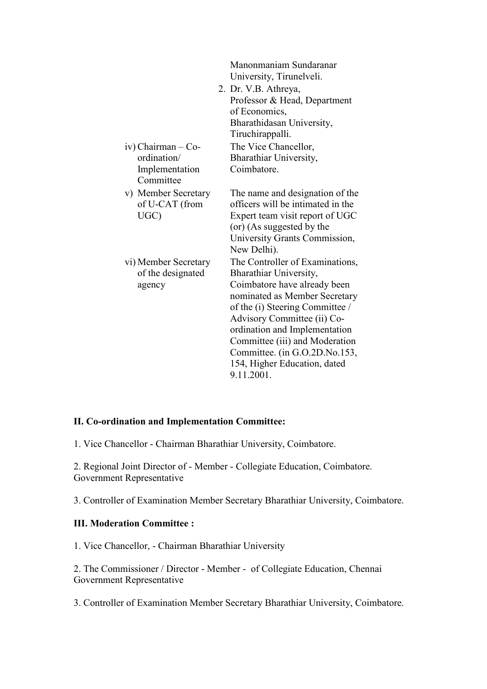|                                                     | Manonmaniam Sundaranar<br>University, Tirunelveli.                                                                                                                                                                                                                                                                                             |
|-----------------------------------------------------|------------------------------------------------------------------------------------------------------------------------------------------------------------------------------------------------------------------------------------------------------------------------------------------------------------------------------------------------|
|                                                     | 2. Dr. V.B. Athreya,                                                                                                                                                                                                                                                                                                                           |
|                                                     | Professor & Head, Department                                                                                                                                                                                                                                                                                                                   |
|                                                     | of Economics,                                                                                                                                                                                                                                                                                                                                  |
|                                                     | Bharathidasan University,                                                                                                                                                                                                                                                                                                                      |
|                                                     | Tiruchirappalli.                                                                                                                                                                                                                                                                                                                               |
| iv) Chairman – Co-                                  | The Vice Chancellor,                                                                                                                                                                                                                                                                                                                           |
| ordination/                                         | Bharathiar University,                                                                                                                                                                                                                                                                                                                         |
| Implementation<br>Committee                         | Coimbatore.                                                                                                                                                                                                                                                                                                                                    |
| v) Member Secretary<br>of U-CAT (from<br>UGC)       | The name and designation of the<br>officers will be intimated in the<br>Expert team visit report of UGC<br>(or) (As suggested by the<br>University Grants Commission,<br>New Delhi).                                                                                                                                                           |
| vi) Member Secretary<br>of the designated<br>agency | The Controller of Examinations,<br>Bharathiar University,<br>Coimbatore have already been<br>nominated as Member Secretary<br>of the (i) Steering Committee /<br>Advisory Committee (ii) Co-<br>ordination and Implementation<br>Committee (iii) and Moderation<br>Committee. (in G.O.2D.No.153,<br>154, Higher Education, dated<br>9.11.2001. |

#### **II. Co-ordination and Implementation Committee:**

1. Vice Chancellor - Chairman Bharathiar University, Coimbatore.

2. Regional Joint Director of - Member - Collegiate Education, Coimbatore. Government Representative

3. Controller of Examination Member Secretary Bharathiar University, Coimbatore.

### **III. Moderation Committee :**

1. Vice Chancellor, - Chairman Bharathiar University

2. The Commissioner / Director - Member - of Collegiate Education, Chennai Government Representative

3. Controller of Examination Member Secretary Bharathiar University, Coimbatore.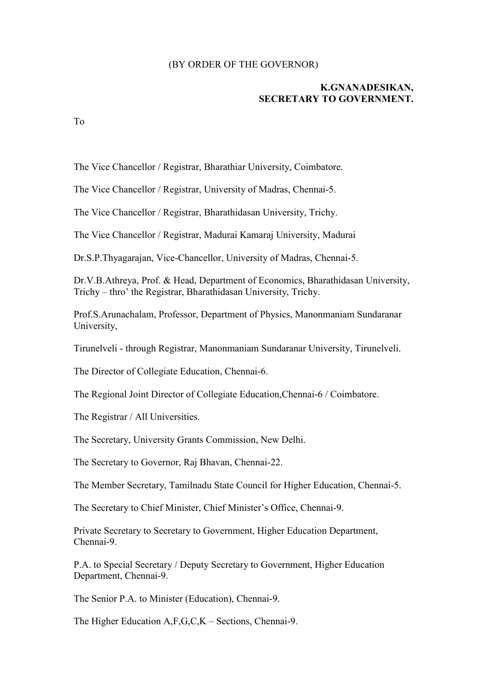#### (BY ORDER OF THE GOVERNOR)

### **K.GNANADESIKAN, SECRETARY TO GOVERNMENT.**

To

The Vice Chancellor / Registrar, Bharathiar University, Coimbatore.

The Vice Chancellor / Registrar, University of Madras, Chennai-5.

The Vice Chancellor / Registrar, Bharathidasan University, Trichy.

The Vice Chancellor / Registrar, Madurai Kamaraj University, Madurai

Dr.S.P.Thyagarajan, Vice-Chancellor, University of Madras, Chennai-5.

Dr.V.B.Athreya, Prof. & Head, Department of Economics, Bharathidasan University, Trichy – thro' the Registrar, Bharathidasan University, Trichy.

Prof.S.Arunachalam, Professor, Department of Physics, Manonmaniam Sundaranar University,

Tirunelveli - through Registrar, Manonmaniam Sundaranar University, Tirunelveli.

The Director of Collegiate Education, Chennai-6.

The Regional Joint Director of Collegiate Education,Chennai-6 / Coimbatore.

The Registrar / All Universities.

The Secretary, University Grants Commission, New Delhi.

The Secretary to Governor, Raj Bhavan, Chennai-22.

The Member Secretary, Tamilnadu State Council for Higher Education, Chennai-5.

The Secretary to Chief Minister, Chief Minister's Office, Chennai-9.

Private Secretary to Secretary to Government, Higher Education Department, Chennai-9.

P.A. to Special Secretary / Deputy Secretary to Government, Higher Education Department, Chennai-9.

The Senior P.A. to Minister (Education), Chennai-9.

The Higher Education A,F,G,C,K – Sections, Chennai-9.